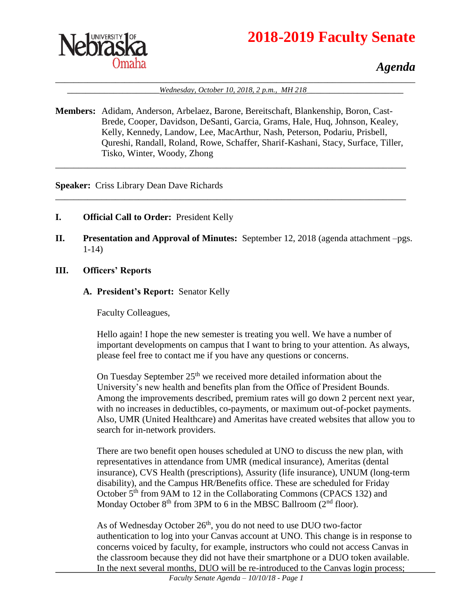



## *Agenda*

\_\_\_\_\_\_\_\_\_\_\_\_\_\_\_\_\_\_\_\_\_\_\_\_\_\_\_\_\_\_\_\_\_\_\_\_\_\_\_\_\_\_\_\_\_\_\_\_\_\_\_\_\_\_\_\_\_\_\_\_\_\_\_\_\_\_\_\_\_\_\_\_\_\_\_\_\_\_ \_\_\_\_\_\_\_\_\_\_\_\_\_\_\_\_\_\_\_\_*Wednesday, October 10, 2018, 2 p.m., MH 218*\_\_\_\_\_\_\_\_\_\_\_\_\_\_\_\_\_\_\_\_\_

**Members:** Adidam, Anderson, Arbelaez, Barone, Bereitschaft, Blankenship, Boron, Cast-Brede, Cooper, Davidson, DeSanti, Garcia, Grams, Hale, Huq, Johnson, Kealey, Kelly, Kennedy, Landow, Lee, MacArthur, Nash, Peterson, Podariu, Prisbell, Qureshi, Randall, Roland, Rowe, Schaffer, Sharif-Kashani, Stacy, Surface, Tiller, Tisko, Winter, Woody, Zhong

\_\_\_\_\_\_\_\_\_\_\_\_\_\_\_\_\_\_\_\_\_\_\_\_\_\_\_\_\_\_\_\_\_\_\_\_\_\_\_\_\_\_\_\_\_\_\_\_\_\_\_\_\_\_\_\_\_\_\_\_\_\_\_\_\_\_\_\_\_\_\_\_\_\_\_\_

\_\_\_\_\_\_\_\_\_\_\_\_\_\_\_\_\_\_\_\_\_\_\_\_\_\_\_\_\_\_\_\_\_\_\_\_\_\_\_\_\_\_\_\_\_\_\_\_\_\_\_\_\_\_\_\_\_\_\_\_\_\_\_\_\_\_\_\_\_\_\_\_\_\_\_\_

**Speaker:** Criss Library Dean Dave Richards

- **I. Official Call to Order:** President Kelly
- **II. Presentation and Approval of Minutes:** September 12, 2018 (agenda attachment –pgs. 1-14)
- **III. Officers' Reports**
	- **A. President's Report:** Senator Kelly

Faculty Colleagues,

Hello again! I hope the new semester is treating you well. We have a number of important developments on campus that I want to bring to your attention. As always, please feel free to contact me if you have any questions or concerns.

On Tuesday September 25<sup>th</sup> we received more detailed information about the University's new health and benefits plan from the Office of President Bounds. Among the improvements described, premium rates will go down 2 percent next year, with no increases in deductibles, co-payments, or maximum out-of-pocket payments. Also, UMR (United Healthcare) and Ameritas have created websites that allow you to search for in-network providers.

There are two benefit open houses scheduled at UNO to discuss the new plan, with representatives in attendance from UMR (medical insurance), Ameritas (dental insurance), CVS Health (prescriptions), Assurity (life insurance), UNUM (long-term disability), and the Campus HR/Benefits office. These are scheduled for Friday October 5<sup>th</sup> from 9AM to 12 in the Collaborating Commons (CPACS 132) and Monday October  $8<sup>th</sup>$  from 3PM to 6 in the MBSC Ballroom ( $2<sup>nd</sup>$  floor).

As of Wednesday October 26<sup>th</sup>, you do not need to use DUO two-factor authentication to log into your Canvas account at UNO. This change is in response to concerns voiced by faculty, for example, instructors who could not access Canvas in the classroom because they did not have their smartphone or a DUO token available. In the next several months, DUO will be re-introduced to the Canvas login process;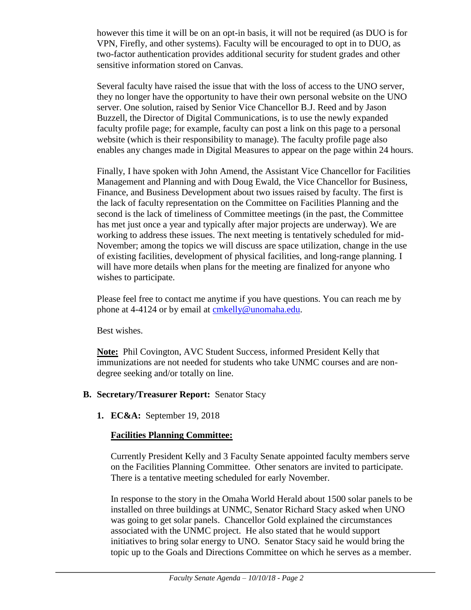however this time it will be on an opt-in basis, it will not be required (as DUO is for VPN, Firefly, and other systems). Faculty will be encouraged to opt in to DUO, as two-factor authentication provides additional security for student grades and other sensitive information stored on Canvas.

Several faculty have raised the issue that with the loss of access to the UNO server, they no longer have the opportunity to have their own personal website on the UNO server. One solution, raised by Senior Vice Chancellor B.J. Reed and by Jason Buzzell, the Director of Digital Communications, is to use the newly expanded faculty profile page; for example, faculty can post a link on this page to a personal website (which is their responsibility to manage). The faculty profile page also enables any changes made in Digital Measures to appear on the page within 24 hours.

Finally, I have spoken with John Amend, the Assistant Vice Chancellor for Facilities Management and Planning and with Doug Ewald, the Vice Chancellor for Business, Finance, and Business Development about two issues raised by faculty. The first is the lack of faculty representation on the Committee on Facilities Planning and the second is the lack of timeliness of Committee meetings (in the past, the Committee has met just once a year and typically after major projects are underway). We are working to address these issues. The next meeting is tentatively scheduled for mid-November; among the topics we will discuss are space utilization, change in the use of existing facilities, development of physical facilities, and long-range planning. I will have more details when plans for the meeting are finalized for anyone who wishes to participate.

Please feel free to contact me anytime if you have questions. You can reach me by phone at 4-4124 or by email at [cmkelly@unomaha.edu.](mailto:cmkelly@unomaha.edu)

Best wishes.

**Note:** Phil Covington, AVC Student Success, informed President Kelly that immunizations are not needed for students who take UNMC courses and are nondegree seeking and/or totally on line.

#### **B. Secretary/Treasurer Report:** Senator Stacy

**1. EC&A:** September 19, 2018

### **Facilities Planning Committee:**

Currently President Kelly and 3 Faculty Senate appointed faculty members serve on the Facilities Planning Committee. Other senators are invited to participate. There is a tentative meeting scheduled for early November.

In response to the story in the Omaha World Herald about 1500 solar panels to be installed on three buildings at UNMC, Senator Richard Stacy asked when UNO was going to get solar panels. Chancellor Gold explained the circumstances associated with the UNMC project. He also stated that he would support initiatives to bring solar energy to UNO. Senator Stacy said he would bring the topic up to the Goals and Directions Committee on which he serves as a member.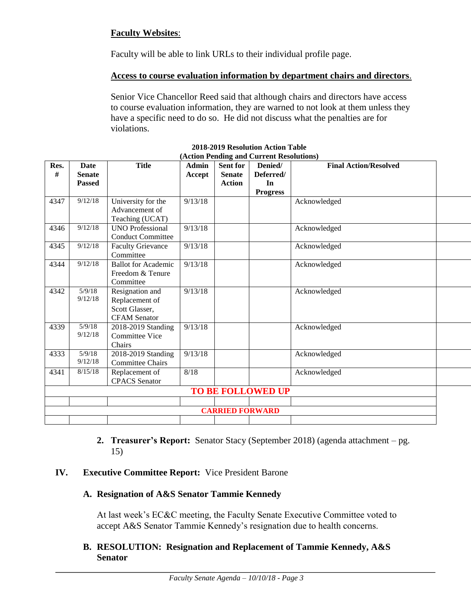#### **Faculty Websites**:

Faculty will be able to link URLs to their individual profile page.

#### **Access to course evaluation information by department chairs and directors**.

Senior Vice Chancellor Reed said that although chairs and directors have access to course evaluation information, they are warned to not look at them unless they have a specific need to do so. He did not discuss what the penalties are for violations.

| Res.                   | Date          | <b>Title</b>               | <b>Admin</b> | <b>Sent for</b> | Denied/                  | <b>Final Action/Resolved</b> |  |
|------------------------|---------------|----------------------------|--------------|-----------------|--------------------------|------------------------------|--|
| #                      | <b>Senate</b> |                            | Accept       | <b>Senate</b>   | Deferred/                |                              |  |
|                        | <b>Passed</b> |                            |              | <b>Action</b>   | In                       |                              |  |
|                        |               |                            |              |                 | <b>Progress</b>          |                              |  |
| 4347                   | 9/12/18       | University for the         | 9/13/18      |                 |                          | Acknowledged                 |  |
|                        |               | Advancement of             |              |                 |                          |                              |  |
|                        |               | Teaching (UCAT)            |              |                 |                          |                              |  |
| 4346                   | 9/12/18       | <b>UNO Professional</b>    | 9/13/18      |                 |                          | Acknowledged                 |  |
|                        |               | <b>Conduct Committee</b>   |              |                 |                          |                              |  |
| 4345                   | 9/12/18       | <b>Faculty Grievance</b>   | 9/13/18      |                 |                          | Acknowledged                 |  |
|                        |               | Committee                  |              |                 |                          |                              |  |
| 4344                   | 9/12/18       | <b>Ballot</b> for Academic | 9/13/18      |                 |                          | Acknowledged                 |  |
|                        |               | Freedom & Tenure           |              |                 |                          |                              |  |
|                        |               | Committee                  |              |                 |                          |                              |  |
| 4342                   | 5/9/18        | Resignation and            | 9/13/18      |                 |                          | Acknowledged                 |  |
|                        | 9/12/18       | Replacement of             |              |                 |                          |                              |  |
|                        |               | Scott Glasser,             |              |                 |                          |                              |  |
|                        |               | <b>CFAM</b> Senator        |              |                 |                          |                              |  |
| 4339                   | 5/9/18        | 2018-2019 Standing         | 9/13/18      |                 |                          | Acknowledged                 |  |
|                        | 9/12/18       | <b>Committee Vice</b>      |              |                 |                          |                              |  |
|                        |               | Chairs                     |              |                 |                          |                              |  |
| 4333                   | 5/9/18        | 2018-2019 Standing         | 9/13/18      |                 |                          | Acknowledged                 |  |
|                        | 9/12/18       | <b>Committee Chairs</b>    |              |                 |                          |                              |  |
| 4341                   | 8/15/18       | Replacement of             | 8/18         |                 |                          | Acknowledged                 |  |
|                        |               | <b>CPACS</b> Senator       |              |                 |                          |                              |  |
|                        |               |                            |              |                 | <b>TO BE FOLLOWED UP</b> |                              |  |
|                        |               |                            |              |                 |                          |                              |  |
| <b>CARRIED FORWARD</b> |               |                            |              |                 |                          |                              |  |
|                        |               |                            |              |                 |                          |                              |  |

#### **2018-2019 Resolution Action Table (Action Pending and Current Resolutions)**

**2. Treasurer's Report:** Senator Stacy (September 2018) (agenda attachment – pg. 15)

#### **IV. Executive Committee Report:** Vice President Barone

#### **A. Resignation of A&S Senator Tammie Kennedy**

At last week's EC&C meeting, the Faculty Senate Executive Committee voted to accept A&S Senator Tammie Kennedy's resignation due to health concerns.

#### **B. RESOLUTION: Resignation and Replacement of Tammie Kennedy, A&S Senator**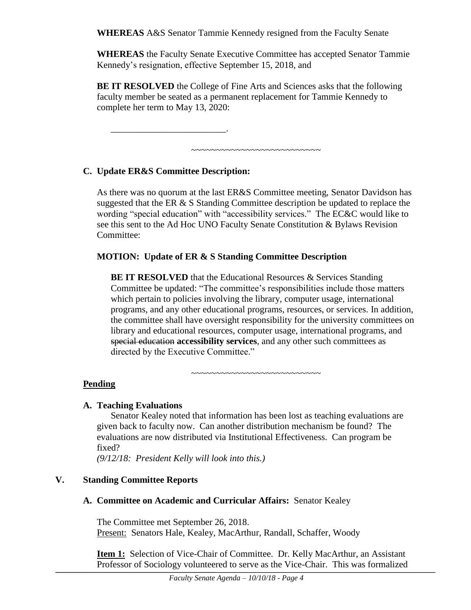**WHEREAS** A&S Senator Tammie Kennedy resigned from the Faculty Senate

**WHEREAS** the Faculty Senate Executive Committee has accepted Senator Tammie Kennedy's resignation, effective September 15, 2018, and

**BE IT RESOLVED** the College of Fine Arts and Sciences asks that the following faculty member be seated as a permanent replacement for Tammie Kennedy to complete her term to May 13, 2020:

~~~~~~~~~~~~~~~~~~~~~~~~~~

### **C. Update ER&S Committee Description:**

\_\_\_\_\_\_\_\_\_\_\_\_\_\_\_\_\_\_\_\_\_\_\_\_\_.

As there was no quorum at the last ER&S Committee meeting, Senator Davidson has suggested that the ER & S Standing Committee description be updated to replace the wording "special education" with "accessibility services." The EC&C would like to see this sent to the Ad Hoc UNO Faculty Senate Constitution & Bylaws Revision Committee:

#### **MOTION: Update of ER & S Standing Committee Description**

**BE IT RESOLVED** that the Educational Resources & Services Standing Committee be updated: "The committee's responsibilities include those matters which pertain to policies involving the library, computer usage, international programs, and any other educational programs, resources, or services. In addition, the committee shall have oversight responsibility for the university committees on library and educational resources, computer usage, international programs, and special education **accessibility services**, and any other such committees as directed by the Executive Committee."

**Pending**

#### **A. Teaching Evaluations**

Senator Kealey noted that information has been lost as teaching evaluations are given back to faculty now. Can another distribution mechanism be found? The evaluations are now distributed via Institutional Effectiveness. Can program be fixed?

~~~~~~~~~~~~~~~~~~~~~~~~~~

*(9/12/18: President Kelly will look into this.)*

### **V. Standing Committee Reports**

#### **A. Committee on Academic and Curricular Affairs:** Senator Kealey

The Committee met September 26, 2018. Present: Senators Hale, Kealey, MacArthur, Randall, Schaffer, Woody

**Item 1:** Selection of Vice-Chair of Committee. Dr. Kelly MacArthur, an Assistant Professor of Sociology volunteered to serve as the Vice-Chair. This was formalized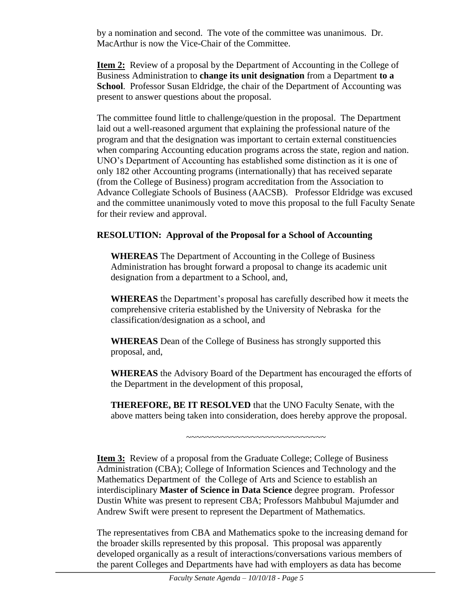by a nomination and second. The vote of the committee was unanimous. Dr. MacArthur is now the Vice-Chair of the Committee.

**Item 2:** Review of a proposal by the Department of Accounting in the College of Business Administration to **change its unit designation** from a Department **to a School**. Professor Susan Eldridge, the chair of the Department of Accounting was present to answer questions about the proposal.

The committee found little to challenge/question in the proposal. The Department laid out a well-reasoned argument that explaining the professional nature of the program and that the designation was important to certain external constituencies when comparing Accounting education programs across the state, region and nation. UNO's Department of Accounting has established some distinction as it is one of only 182 other Accounting programs (internationally) that has received separate (from the College of Business) program accreditation from the Association to Advance Collegiate Schools of Business (AACSB). Professor Eldridge was excused and the committee unanimously voted to move this proposal to the full Faculty Senate for their review and approval.

#### **RESOLUTION: Approval of the Proposal for a School of Accounting**

**WHEREAS** The Department of Accounting in the College of Business Administration has brought forward a proposal to change its academic unit designation from a department to a School, and,

**WHEREAS** the Department's proposal has carefully described how it meets the comprehensive criteria established by the University of Nebraska for the classification/designation as a school, and

**WHEREAS** Dean of the College of Business has strongly supported this proposal, and,

**WHEREAS** the Advisory Board of the Department has encouraged the efforts of the Department in the development of this proposal,

**THEREFORE, BE IT RESOLVED** that the UNO Faculty Senate, with the above matters being taken into consideration, does hereby approve the proposal.

~~~~~~~~~~~~~~~~~~~~~~~~~~~~

**Item 3:** Review of a proposal from the Graduate College; College of Business Administration (CBA); College of Information Sciences and Technology and the Mathematics Department of the College of Arts and Science to establish an interdisciplinary **Master of Science in Data Science** degree program. Professor Dustin White was present to represent CBA; Professors Mahbubul Majumder and Andrew Swift were present to represent the Department of Mathematics.

The representatives from CBA and Mathematics spoke to the increasing demand for the broader skills represented by this proposal. This proposal was apparently developed organically as a result of interactions/conversations various members of the parent Colleges and Departments have had with employers as data has become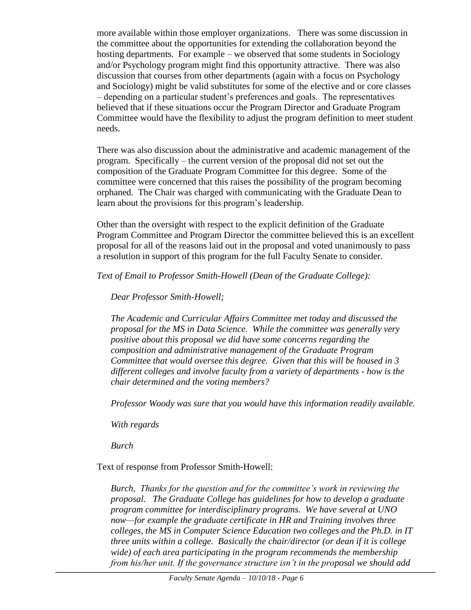more available within those employer organizations. There was some discussion in the committee about the opportunities for extending the collaboration beyond the hosting departments. For example – we observed that some students in Sociology and/or Psychology program might find this opportunity attractive. There was also discussion that courses from other departments (again with a focus on Psychology and Sociology) might be valid substitutes for some of the elective and or core classes – depending on a particular student's preferences and goals. The representatives believed that if these situations occur the Program Director and Graduate Program Committee would have the flexibility to adjust the program definition to meet student needs.

There was also discussion about the administrative and academic management of the program. Specifically – the current version of the proposal did not set out the composition of the Graduate Program Committee for this degree. Some of the committee were concerned that this raises the possibility of the program becoming orphaned. The Chair was charged with communicating with the Graduate Dean to learn about the provisions for this program's leadership.

Other than the oversight with respect to the explicit definition of the Graduate Program Committee and Program Director the committee believed this is an excellent proposal for all of the reasons laid out in the proposal and voted unanimously to pass a resolution in support of this program for the full Faculty Senate to consider.

*Text of Email to Professor Smith-Howell (Dean of the Graduate College):*

*Dear Professor Smith-Howell;*

*The Academic and Curricular Affairs Committee met today and discussed the proposal for the MS in Data Science. While the committee was generally very positive about this proposal we did have some concerns regarding the composition and administrative management of the Graduate Program Committee that would oversee this degree. Given that this will be housed in 3 different colleges and involve faculty from a variety of departments - how is the chair determined and the voting members?*

*Professor Woody was sure that you would have this information readily available.*

*With regards*

*Burch*

Text of response from Professor Smith-Howell:

*Burch, Thanks for the question and for the committee's work in reviewing the proposal. The Graduate College has guidelines for how to develop a graduate program committee for interdisciplinary programs. We have several at UNO now—for example the graduate certificate in HR and Training involves three colleges, the MS in Computer Science Education two colleges and the Ph.D. in IT three units within a college. Basically the chair/director (or dean if it is college wide) of each area participating in the program recommends the membership from his/her unit. If the governance structure isn't in the proposal we should add*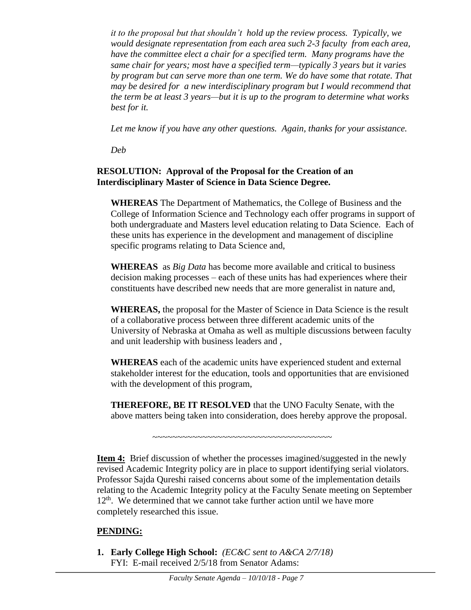*it to the proposal but that shouldn't hold up the review process. Typically, we would designate representation from each area such 2-3 faculty from each area, have the committee elect a chair for a specified term. Many programs have the same chair for years; most have a specified term—typically 3 years but it varies by program but can serve more than one term. We do have some that rotate. That may be desired for a new interdisciplinary program but I would recommend that the term be at least 3 years—but it is up to the program to determine what works best for it.*

*Let me know if you have any other questions. Again, thanks for your assistance.*

*Deb* 

#### **RESOLUTION: Approval of the Proposal for the Creation of an Interdisciplinary Master of Science in Data Science Degree.**

**WHEREAS** The Department of Mathematics, the College of Business and the College of Information Science and Technology each offer programs in support of both undergraduate and Masters level education relating to Data Science. Each of these units has experience in the development and management of discipline specific programs relating to Data Science and,

**WHEREAS** as *Big Data* has become more available and critical to business decision making processes – each of these units has had experiences where their constituents have described new needs that are more generalist in nature and,

**WHEREAS,** the proposal for the Master of Science in Data Science is the result of a collaborative process between three different academic units of the University of Nebraska at Omaha as well as multiple discussions between faculty and unit leadership with business leaders and ,

**WHEREAS** each of the academic units have experienced student and external stakeholder interest for the education, tools and opportunities that are envisioned with the development of this program,

**THEREFORE, BE IT RESOLVED** that the UNO Faculty Senate, with the above matters being taken into consideration, does hereby approve the proposal.

~~~~~~~~~~~~~~~~~~~~~~~~~~~~~~~~~~~

**Item 4:** Brief discussion of whether the processes imagined/suggested in the newly revised Academic Integrity policy are in place to support identifying serial violators. Professor Sajda Qureshi raised concerns about some of the implementation details relating to the Academic Integrity policy at the Faculty Senate meeting on September  $12<sup>th</sup>$ . We determined that we cannot take further action until we have more completely researched this issue.

### **PENDING:**

**1. Early College High School:** *(EC&C sent to A&CA 2/7/18)* FYI: E-mail received 2/5/18 from Senator Adams: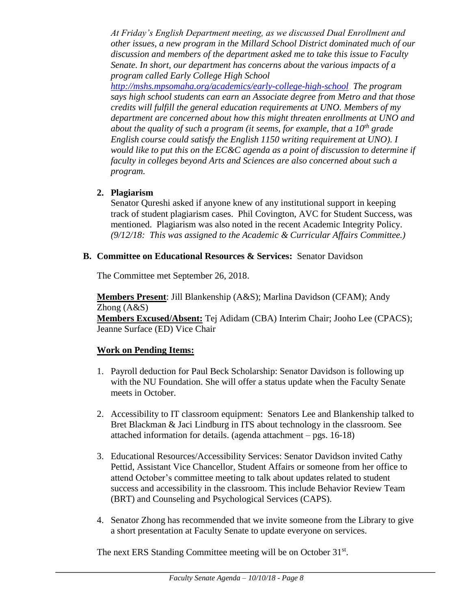*At Friday's English Department meeting, as we discussed Dual Enrollment and other issues, a new program in the Millard School District dominated much of our discussion and members of the department asked me to take this issue to Faculty Senate. In short, our department has concerns about the various impacts of a program called Early College High School* 

*<http://mshs.mpsomaha.org/academics/early-college-high-school> The program says high school students can earn an Associate degree from Metro and that those credits will fulfill the general education requirements at UNO. Members of my department are concerned about how this might threaten enrollments at UNO and about the quality of such a program (it seems, for example, that a 10th grade English course could satisfy the English 1150 writing requirement at UNO). I would like to put this on the EC&C agenda as a point of discussion to determine if faculty in colleges beyond Arts and Sciences are also concerned about such a program.*

#### **2. Plagiarism**

Senator Qureshi asked if anyone knew of any institutional support in keeping track of student plagiarism cases. Phil Covington, AVC for Student Success, was mentioned. Plagiarism was also noted in the recent Academic Integrity Policy. *(9/12/18: This was assigned to the Academic & Curricular Affairs Committee.)* 

#### **B. Committee on Educational Resources & Services:** Senator Davidson

The Committee met September 26, 2018.

**Members Present**: Jill Blankenship (A&S); Marlina Davidson (CFAM); Andy Zhong (A&S) **Members Excused/Absent:** Tej Adidam (CBA) Interim Chair; Jooho Lee (CPACS); Jeanne Surface (ED) Vice Chair

### **Work on Pending Items:**

- 1. Payroll deduction for Paul Beck Scholarship: Senator Davidson is following up with the NU Foundation. She will offer a status update when the Faculty Senate meets in October.
- 2. Accessibility to IT classroom equipment: Senators Lee and Blankenship talked to Bret Blackman & Jaci Lindburg in ITS about technology in the classroom. See attached information for details. (agenda attachment – pgs. 16-18)
- 3. Educational Resources/Accessibility Services: Senator Davidson invited Cathy Pettid, Assistant Vice Chancellor, Student Affairs or someone from her office to attend October's committee meeting to talk about updates related to student success and accessibility in the classroom. This include Behavior Review Team (BRT) and Counseling and Psychological Services (CAPS).
- 4. Senator Zhong has recommended that we invite someone from the Library to give a short presentation at Faculty Senate to update everyone on services.

The next ERS Standing Committee meeting will be on October 31st.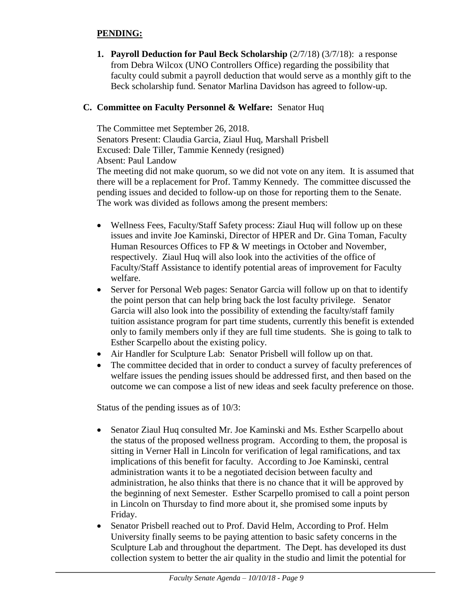#### **PENDING:**

**1. Payroll Deduction for Paul Beck Scholarship**  $(2/7/18)$   $(3/7/18)$ : a response from Debra Wilcox (UNO Controllers Office) regarding the possibility that faculty could submit a payroll deduction that would serve as a monthly gift to the Beck scholarship fund. Senator Marlina Davidson has agreed to follow-up.

#### **C. Committee on Faculty Personnel & Welfare:** Senator Huq

The Committee met September 26, 2018. Senators Present: Claudia Garcia, Ziaul Huq, Marshall Prisbell Excused: Dale Tiller, Tammie Kennedy (resigned) Absent: Paul Landow The meeting did not make quorum, so we did not vote on any item. It is assumed that there will be a replacement for Prof. Tammy Kennedy. The committee discussed the pending issues and decided to follow-up on those for reporting them to the Senate. The work was divided as follows among the present members:

- Wellness Fees, Faculty/Staff Safety process: Ziaul Huq will follow up on these issues and invite Joe Kaminski, Director of HPER and Dr. Gina Toman, Faculty Human Resources Offices to FP & W meetings in October and November, respectively. Ziaul Huq will also look into the activities of the office of Faculty/Staff Assistance to identify potential areas of improvement for Faculty welfare.
- Server for Personal Web pages: Senator Garcia will follow up on that to identify the point person that can help bring back the lost faculty privilege. Senator Garcia will also look into the possibility of extending the faculty/staff family tuition assistance program for part time students, currently this benefit is extended only to family members only if they are full time students. She is going to talk to Esther Scarpello about the existing policy.
- Air Handler for Sculpture Lab: Senator Prisbell will follow up on that.
- The committee decided that in order to conduct a survey of faculty preferences of welfare issues the pending issues should be addressed first, and then based on the outcome we can compose a list of new ideas and seek faculty preference on those.

Status of the pending issues as of 10/3:

- Senator Ziaul Huq consulted Mr. Joe Kaminski and Ms. Esther Scarpello about the status of the proposed wellness program. According to them, the proposal is sitting in Verner Hall in Lincoln for verification of legal ramifications, and tax implications of this benefit for faculty. According to Joe Kaminski, central administration wants it to be a negotiated decision between faculty and administration, he also thinks that there is no chance that it will be approved by the beginning of next Semester. Esther Scarpello promised to call a point person in Lincoln on Thursday to find more about it, she promised some inputs by Friday.
- Senator Prisbell reached out to Prof. David Helm, According to Prof. Helm University finally seems to be paying attention to basic safety concerns in the Sculpture Lab and throughout the department. The Dept. has developed its dust collection system to better the air quality in the studio and limit the potential for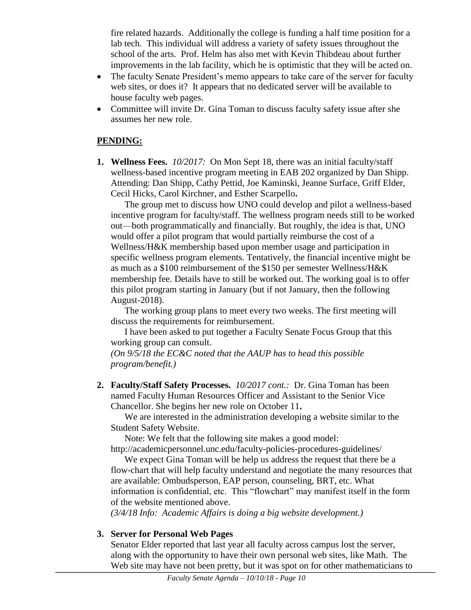fire related hazards. Additionally the college is funding a half time position for a lab tech. This individual will address a variety of safety issues throughout the school of the arts. Prof. Helm has also met with Kevin Thibdeau about further improvements in the lab facility, which he is optimistic that they will be acted on.

- The faculty Senate President's memo appears to take care of the server for faculty web sites, or does it? It appears that no dedicated server will be available to house faculty web pages.
- Committee will invite Dr. Gina Toman to discuss faculty safety issue after she assumes her new role.

#### **PENDING:**

**1. Wellness Fees.** *10/2017:*On Mon Sept 18, there was an initial faculty/staff wellness-based incentive program meeting in EAB 202 organized by Dan Shipp. Attending: Dan Shipp, Cathy Pettid, Joe Kaminski, Jeanne Surface, Griff Elder, Cecil Hicks, Carol Kirchner, and Esther Scarpello**.**

The group met to discuss how UNO could develop and pilot a wellness-based incentive program for faculty/staff. The wellness program needs still to be worked out—both programmatically and financially. But roughly, the idea is that, UNO would offer a pilot program that would partially reimburse the cost of a Wellness/H&K membership based upon member usage and participation in specific wellness program elements. Tentatively, the financial incentive might be as much as a \$100 reimbursement of the \$150 per semester Wellness/H&K membership fee. Details have to still be worked out. The working goal is to offer this pilot program starting in January (but if not January, then the following August-2018).

The working group plans to meet every two weeks. The first meeting will discuss the requirements for reimbursement.

I have been asked to put together a Faculty Senate Focus Group that this working group can consult.

*(On 9/5/18 the EC&C noted that the AAUP has to head this possible program/benefit.)*

**2. Faculty/Staff Safety Processes.** *10/2017 cont.:* Dr. Gina Toman has been named Faculty Human Resources Officer and Assistant to the Senior Vice Chancellor. She begins her new role on October 11**.**

We are interested in the administration developing a website similar to the Student Safety Website.

Note: We felt that the following site makes a good model:

http://academicpersonnel.unc.edu/faculty-policies-procedures-guidelines/

We expect Gina Toman will be help us address the request that there be a flow-chart that will help faculty understand and negotiate the many resources that are available: Ombudsperson, EAP person, counseling, BRT, etc. What information is confidential, etc. This "flowchart" may manifest itself in the form of the website mentioned above.

*(3/4/18 Info: Academic Affairs is doing a big website development.)*

### **3. Server for Personal Web Pages**

Senator Elder reported that last year all faculty across campus lost the server, along with the opportunity to have their own personal web sites, like Math. The Web site may have not been pretty, but it was spot on for other mathematicians to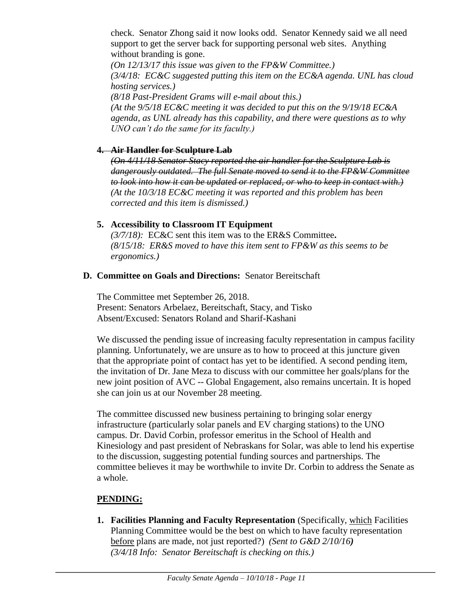check. Senator Zhong said it now looks odd. Senator Kennedy said we all need support to get the server back for supporting personal web sites. Anything without branding is gone.

*(On 12/13/17 this issue was given to the FP&W Committee.) (3/4/18: EC&C suggested putting this item on the EC&A agenda. UNL has cloud hosting services.)*

*(8/18 Past-President Grams will e-mail about this.) (At the 9/5/18 EC&C meeting it was decided to put this on the 9/19/18 EC&A agenda, as UNL already has this capability, and there were questions as to why UNO can't do the same for its faculty.)*

#### **4. Air Handler for Sculpture Lab**

*(On 4/11/18 Senator Stacy reported the air handler for the Sculpture Lab is dangerously outdated. The full Senate moved to send it to the FP&W Committee to look into how it can be updated or replaced, or who to keep in contact with.) (At the 10/3/18 EC&C meeting it was reported and this problem has been corrected and this item is dismissed.)*

### **5. Accessibility to Classroom IT Equipment**

*(3/7/18):* EC&C sent this item was to the ER&S Committee**.**  *(8/15/18: ER&S moved to have this item sent to FP&W as this seems to be ergonomics.)* 

#### **D. Committee on Goals and Directions:** Senator Bereitschaft

The Committee met September 26, 2018. Present: Senators Arbelaez, Bereitschaft, Stacy, and Tisko Absent/Excused: Senators Roland and Sharif-Kashani

We discussed the pending issue of increasing faculty representation in campus facility planning. Unfortunately, we are unsure as to how to proceed at this juncture given that the appropriate point of contact has yet to be identified. A second pending item, the invitation of Dr. Jane Meza to discuss with our committee her goals/plans for the new joint position of AVC -- Global Engagement, also remains uncertain. It is hoped she can join us at our November 28 meeting.

The committee discussed new business pertaining to bringing solar energy infrastructure (particularly solar panels and EV charging stations) to the UNO campus. Dr. David Corbin, professor emeritus in the School of Health and Kinesiology and past president of Nebraskans for Solar, was able to lend his expertise to the discussion, suggesting potential funding sources and partnerships. The committee believes it may be worthwhile to invite Dr. Corbin to address the Senate as a whole.

### **PENDING:**

**1. Facilities Planning and Faculty Representation** (Specifically, which Facilities Planning Committee would be the best on which to have faculty representation before plans are made, not just reported?) *(Sent to G&D 2/10/16) (3/4/18 Info: Senator Bereitschaft is checking on this.)*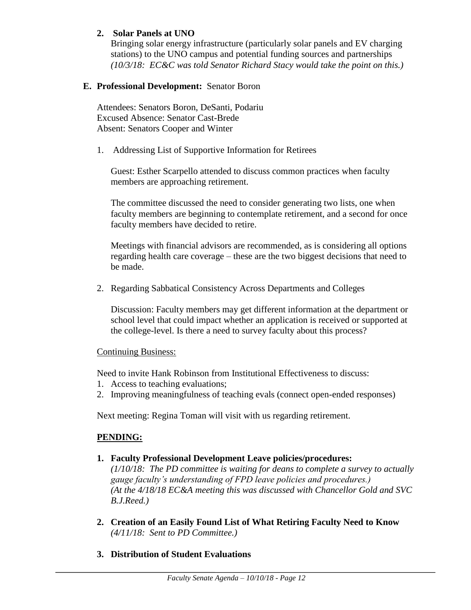#### **2. Solar Panels at UNO**

Bringing solar energy infrastructure (particularly solar panels and EV charging stations) to the UNO campus and potential funding sources and partnerships *(10/3/18: EC&C was told Senator Richard Stacy would take the point on this.)*

#### **E. Professional Development:** Senator Boron

Attendees: Senators Boron, DeSanti, Podariu Excused Absence: Senator Cast-Brede Absent: Senators Cooper and Winter

1. Addressing List of Supportive Information for Retirees

Guest: Esther Scarpello attended to discuss common practices when faculty members are approaching retirement.

The committee discussed the need to consider generating two lists, one when faculty members are beginning to contemplate retirement, and a second for once faculty members have decided to retire.

Meetings with financial advisors are recommended, as is considering all options regarding health care coverage – these are the two biggest decisions that need to be made.

2. Regarding Sabbatical Consistency Across Departments and Colleges

Discussion: Faculty members may get different information at the department or school level that could impact whether an application is received or supported at the college-level. Is there a need to survey faculty about this process?

#### Continuing Business:

Need to invite Hank Robinson from Institutional Effectiveness to discuss:

- 1. Access to teaching evaluations;
- 2. Improving meaningfulness of teaching evals (connect open-ended responses)

Next meeting: Regina Toman will visit with us regarding retirement.

### **PENDING:**

**1. Faculty Professional Development Leave policies/procedures:** 

*(1/10/18: The PD committee is waiting for deans to complete a survey to actually gauge faculty's understanding of FPD leave policies and procedures.) (At the 4/18/18 EC&A meeting this was discussed with Chancellor Gold and SVC B.J.Reed.)*

- **2. Creation of an Easily Found List of What Retiring Faculty Need to Know** *(4/11/18: Sent to PD Committee.)*
- **3. Distribution of Student Evaluations**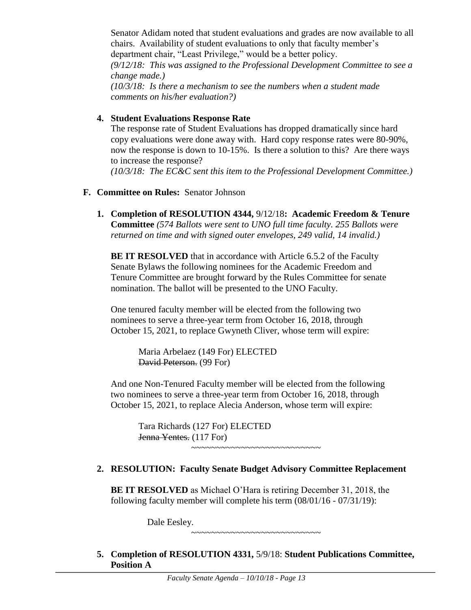Senator Adidam noted that student evaluations and grades are now available to all chairs. Availability of student evaluations to only that faculty member's department chair, "Least Privilege," would be a better policy. *(9/12/18: This was assigned to the Professional Development Committee to see a change made.) (10/3/18: Is there a mechanism to see the numbers when a student made comments on his/her evaluation?)*

#### **4. Student Evaluations Response Rate**

The response rate of Student Evaluations has dropped dramatically since hard copy evaluations were done away with. Hard copy response rates were 80-90%, now the response is down to 10-15%. Is there a solution to this? Are there ways to increase the response? *(10/3/18: The EC&C sent this item to the Professional Development Committee.)*

#### **F. Committee on Rules:** Senator Johnson

**1. Completion of RESOLUTION 4344,** 9/12/18**: Academic Freedom & Tenure Committee** *(574 Ballots were sent to UNO full time faculty. 255 Ballots were returned on time and with signed outer envelopes, 249 valid, 14 invalid.)*

**BE IT RESOLVED** that in accordance with Article 6.5.2 of the Faculty Senate Bylaws the following nominees for the Academic Freedom and Tenure Committee are brought forward by the Rules Committee for senate nomination. The ballot will be presented to the UNO Faculty.

One tenured faculty member will be elected from the following two nominees to serve a three-year term from October 16, 2018, through October 15, 2021, to replace Gwyneth Cliver, whose term will expire:

> Maria Arbelaez (149 For) ELECTED David Peterson. (99 For)

And one Non-Tenured Faculty member will be elected from the following two nominees to serve a three-year term from October 16, 2018, through October 15, 2021, to replace Alecia Anderson, whose term will expire:

> Tara Richards (127 For) ELECTED Jenna Yentes. (117 For) ~~~~~~~~~~~~~~~~~~~~~~~~~~

# **2. RESOLUTION: Faculty Senate Budget Advisory Committee Replacement**

**BE IT RESOLVED** as Michael O'Hara is retiring December 31, 2018, the following faculty member will complete his term (08/01/16 - 07/31/19):

Dale Eesley.

~~~~~~~~~~~~~~~~~~~~~~~~~~

**5. Completion of RESOLUTION 4331,** 5/9/18: **Student Publications Committee, Position A**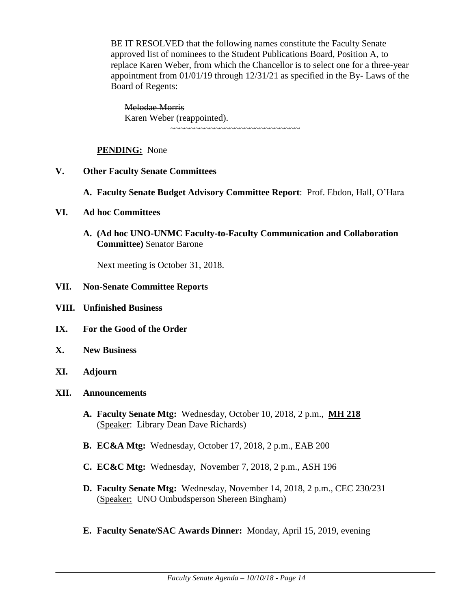BE IT RESOLVED that the following names constitute the Faculty Senate approved list of nominees to the Student Publications Board, Position A, to replace Karen Weber, from which the Chancellor is to select one for a three-year appointment from 01/01/19 through 12/31/21 as specified in the By- Laws of the Board of Regents:

Melodae Morris Karen Weber (reappointed).

~~~~~~~~~~~~~~~~~~~~~~~~~~

#### **PENDING:** None

- **V. Other Faculty Senate Committees**
	- **A. Faculty Senate Budget Advisory Committee Report**: Prof. Ebdon, Hall, O'Hara
- **VI. Ad hoc Committees**
	- **A. (Ad hoc UNO-UNMC Faculty-to-Faculty Communication and Collaboration Committee)** Senator Barone

Next meeting is October 31, 2018.

#### **VII. Non-Senate Committee Reports**

- **VIII. Unfinished Business**
- **IX. For the Good of the Order**
- **X. New Business**
- **XI. Adjourn**
- **XII. Announcements**
	- **A. Faculty Senate Mtg:** Wednesday, October 10, 2018, 2 p.m., **MH 218**  (Speaker: Library Dean Dave Richards)
	- **B. EC&A Mtg:** Wednesday, October 17, 2018, 2 p.m., EAB 200
	- **C. EC&C Mtg:** Wednesday, November 7, 2018, 2 p.m., ASH 196
	- **D. Faculty Senate Mtg:** Wednesday, November 14, 2018, 2 p.m., CEC 230/231 (Speaker: UNO Ombudsperson Shereen Bingham)
	- **E. Faculty Senate/SAC Awards Dinner:** Monday, April 15, 2019, evening